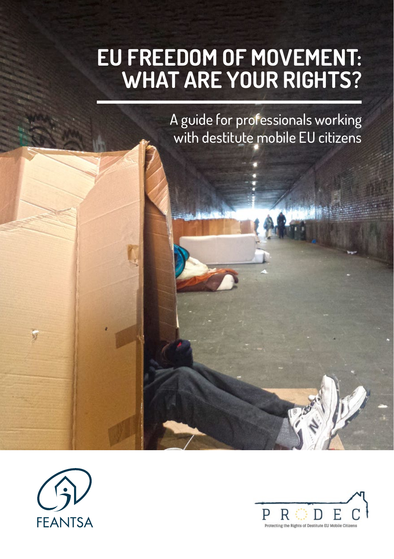# **EU FREEDOM OF MOVEMENT: WHAT ARE YOUR RIGHTS?**

A guide for professionals working with destitute mobile EU citizens



 $\frac{1}{2}$ 

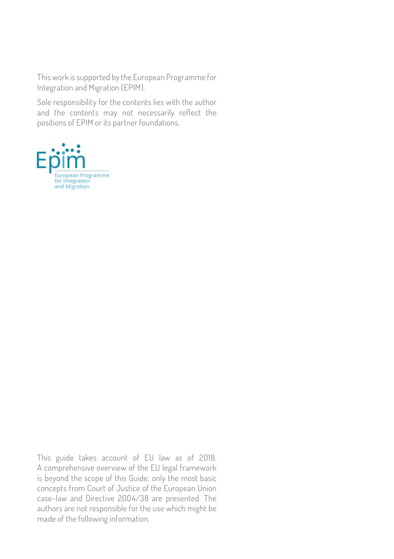This work is supported by the European Programme for Integration and Migration (EPIM).

Sole responsibility for the contents lies with the author and the contents may not necessarily reflect the positions of EPIM or its partner foundations.



This guide takes account of EU law as of 2018. A comprehensive overview of the EU legal framework is beyond the scope of this Guide; only the most basic concepts from Court of Justice of the European Union case-law and Directive 2004/38 are presented. The authors are not responsible for the use which might be made of the following information.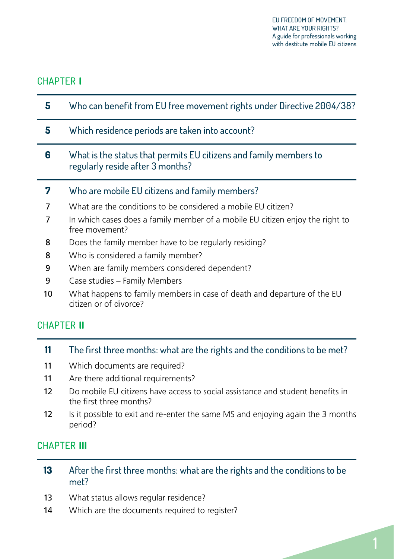### CHAPTER **I**

| 5  | Who can benefit from EU free movement rights under Directive 2004/38?                                 |
|----|-------------------------------------------------------------------------------------------------------|
| 5. | Which residence periods are taken into account?                                                       |
| 6  | What is the status that permits EU citizens and family members to<br>regularly reside after 3 months? |
| 7  | Who are mobile EU citizens and family members?                                                        |
| 7  | What are the conditions to be considered a mobile EU citizen?                                         |
| 7  | In which cases does a family member of a mobile EU citizen enjoy the right to<br>free movement?       |
| 8  | Does the family member have to be regularly residing?                                                 |
| 8  | Who is considered a family member?                                                                    |
| 9  | When are family members considered dependent?                                                         |
| 9  | Case studies – Family Members                                                                         |
| 10 | What happens to family members in case of death and departure of the EU<br>citizen or of divorce?     |

### CHAPTER **II**

| 11 | The first three months: what are the rights and the conditions to be met? |  |  |
|----|---------------------------------------------------------------------------|--|--|
|    |                                                                           |  |  |

- 11 [Which documents are required?](#page-12-0)
- 11 [Are there additional requirements?](#page-12-0)
- 12 [Do mobile EU citizens have access to social assistance and student benefits in](#page-13-0)  [the first three months?](#page-13-0)
- 12 Is it possible to exit and re-enter the same MS and enjoying again the 3 months [period?](#page-13-0)

### CHAPTER **III**

- **13** [After the first three months: what are the rights and the conditions to be](#page-14-0)  [met?](#page-14-0)
- 13 [What status allows regular residence?](#page-14-0)
- 14 [Which are the documents required to register?](#page-15-0)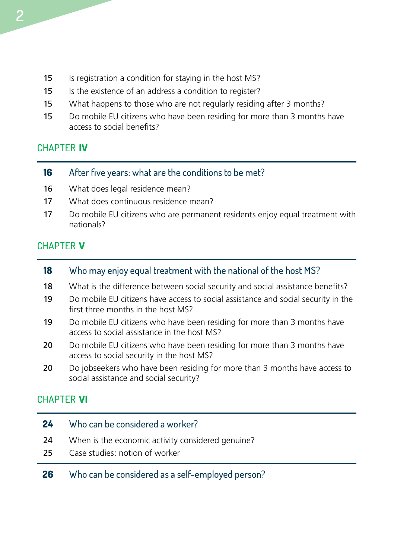- 15 [Is registration a condition for staying in the host MS?](#page-16-0)
- 15 Is the existence of an address a condition to register?
- 15 [What happens to those who are not regularly residing after 3 months?](#page-16-0)
- 15 [Do mobile EU citizens who have been residing for more than 3 months have](#page-16-0)  [access to social benefits?](#page-16-0)

### CHAPTER **IV**

| 16 |  | After five years: what are the conditions to be met? |  |  |
|----|--|------------------------------------------------------|--|--|
|----|--|------------------------------------------------------|--|--|

- 16 [What does legal residence mean?](#page-17-0)
- 17 [What does continuous residence mean?](#page-18-0)
- 17 [Do mobile EU citizens who are permanent residents enjoy equal treatment with](#page-18-0)  [nationals?](#page-18-0)

### CHAPTER **V**

- **18** [Who may enjoy equal treatment with the national of the host MS?](#page-19-0)
- 18 [What is the difference between social security and social assistance benefits?](#page-19-0)
- 19 [Do mobile EU citizens have access to social assistance and social security in the](#page-20-0)  [first three months in the host MS?](#page-20-0)
- 19 Do mobile EU citizens who have been residing for more than 3 months have [access to social assistance in the host MS?](#page-20-0)
- 20 Do mobile EU citizens who have been residing for more than 3 months have [access to social security in the host MS?](#page-21-0)
- 20 Do jobseekers who have been residing for more than 3 months have access to [social assistance and social security?](#page-21-0)

### CHAPTER **VI**

| 24<br>-24 | Who can be considered a worker?<br>When is the economic activity considered genuine? |
|-----------|--------------------------------------------------------------------------------------|
| -25.      | Case studies: notion of worker                                                       |
| 26        | Who can be considered as a self-employed person?                                     |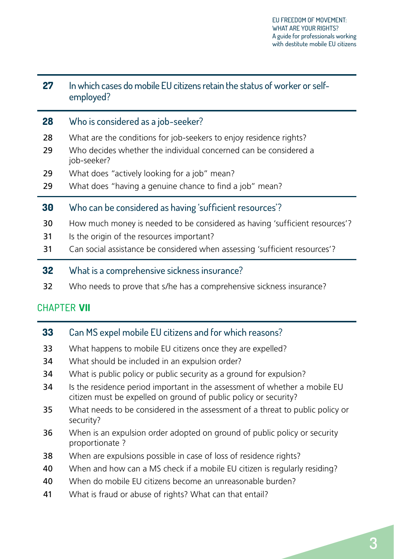| 27 | In which cases do mobile EU citizens retain the status of worker or self-<br>employed? |
|----|----------------------------------------------------------------------------------------|
| 28 | Who is considered as a job-seeker?                                                     |
| 28 | What are the conditions for job-seekers to enjoy residence rights?                     |
| 29 | Who decides whether the individual concerned can be considered a<br>job-seeker?        |
| 29 | What does "actively looking for a job" mean?                                           |
| 29 | What does "having a genuine chance to find a job" mean?                                |
| 30 | Who can be considered as having 'sufficient resources'?                                |
| 30 | How much money is needed to be considered as having 'sufficient resources'?            |
| 31 | Is the origin of the resources important?                                              |
| 31 | Can social assistance be considered when assessing 'sufficient resources'?             |
| 32 | What is a comprehensive sickness insurance?                                            |
|    |                                                                                        |

32 [Who needs to prove that s/he has a comprehensive sickness insurance?](#page-33-0)

### CHAPTER **VII**

| 33 | Can MS expel mobile EU citizens and for which reasons?                                                                                         |
|----|------------------------------------------------------------------------------------------------------------------------------------------------|
| 33 | What happens to mobile EU citizens once they are expelled?                                                                                     |
| 34 | What should be included in an expulsion order?                                                                                                 |
| 34 | What is public policy or public security as a ground for expulsion?                                                                            |
| 34 | Is the residence period important in the assessment of whether a mobile EU<br>citizen must be expelled on ground of public policy or security? |
| 35 | What needs to be considered in the assessment of a threat to public policy or<br>security?                                                     |
| 36 | When is an expulsion order adopted on ground of public policy or security<br>proportionate?                                                    |
| 38 | When are expulsions possible in case of loss of residence rights?                                                                              |
| 40 | When and how can a MS check if a mobile EU citizen is regularly residing?                                                                      |

- 40 [When do mobile EU citizens become an unreasonable burden?](#page-41-0)
- 41 [What is fraud or abuse of rights? What can that entail?](#page-42-0)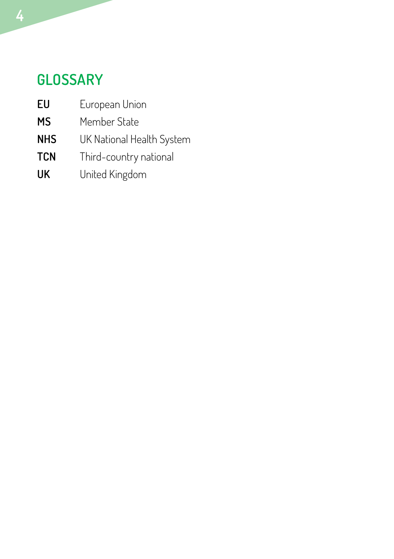### **GLOSSARY**

- **EU** European Union
- **MS** Member State
- **NHS** UK National Health System
- **TCN** Third-country national
- **UK** United Kingdom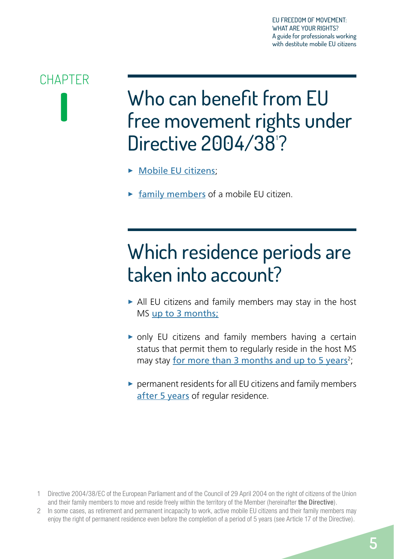# <span id="page-6-0"></span>**CHAPTER I**

Who can benefit from EU free movement rights under Directive 2004/38<sup>'?</sup>

- $\triangleright$  [Mobile EU citizens](#page-8-1);
- $\blacktriangleright$  [family members](#page-8-1) of a mobile EU citizen.

# Which residence periods are taken into account?

- $\blacktriangleright$  All EU citizens and family members may stay in the host MS [up to 3 months](#page-12-1);
- $\triangleright$  only EU citizens and family members having a certain status that permit them to regularly reside in the host MS may stay [for more than 3 months and up to 5 years](#page-14-1)<sup>2</sup>;
- $\triangleright$  permanent residents for all EU citizens and family members [after 5 years](#page-17-1) of regular residence.

2 In some cases, as retirement and permanent incapacity to work, active mobile EU citizens and their family members may enjoy the right of permanent residence even before the completion of a period of 5 years (see Article 17 of the Directive).

<sup>1</sup> Directive 2004/38/EC of the European Parliament and of the Council of 29 April 2004 on the right of citizens of the Union and their family members to move and reside freely within the territory of the Member (hereinafter the Directive).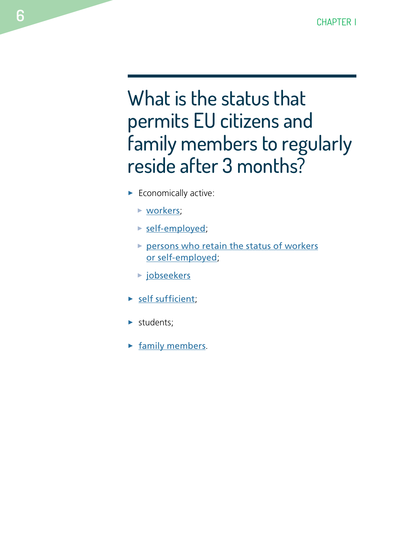# <span id="page-7-0"></span>What is the status that permits EU citizens and family members to regularly reside after 3 months?

- $\blacktriangleright$  Economically active:
	- $\triangleright$  [workers](#page-25-1);
	- $\triangleright$  [self-employed](#page-27-1);
	- $\triangleright$  [persons who retain the status of workers](#page-28-1) [or self-employed](#page-28-1);
	- $\triangleright$  [jobseekers](#page-29-1)
- $\blacktriangleright$  [self sufficient](#page-31-1);
- $\blacktriangleright$  students;
- $\blacktriangleright$  [family members](#page-8-2).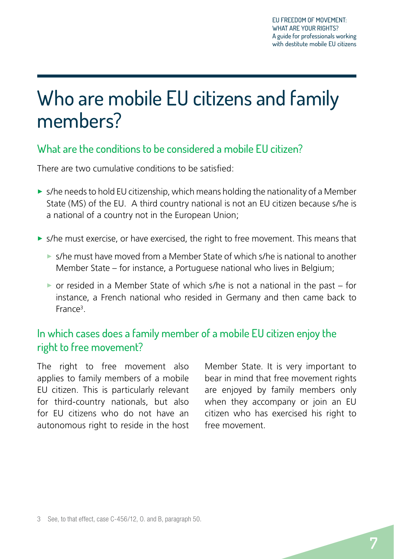# <span id="page-8-1"></span><span id="page-8-0"></span>Who are mobile EU citizens and family members?

### What are the conditions to be considered a mobile EU citizen?

There are two cumulative conditions to be satisfied:

- $\triangleright$  s/he needs to hold EU citizenship, which means holding the nationality of a Member State (MS) of the EU. A third country national is not an EU citizen because s/he is a national of a country not in the European Union;
- **>** s/he must exercise, or have exercised, the right to free movement. This means that
	- $\triangleright$  s/he must have moved from a Member State of which s/he is national to another Member State – for instance, a Portuguese national who lives in Belgium;
	- $\triangleright$  or resided in a Member State of which s/he is not a national in the past for instance, a French national who resided in Germany and then came back to France<sup>3</sup>.

### <span id="page-8-2"></span>In which cases does a family member of a mobile EU citizen enjoy the right to free movement?

The right to free movement also applies to family members of a mobile EU citizen. This is particularly relevant for third-country nationals, but also for EU citizens who do not have an autonomous right to reside in the host Member State. It is very important to bear in mind that free movement rights are enjoyed by family members only when they accompany or join an EU citizen who has exercised his right to free movement.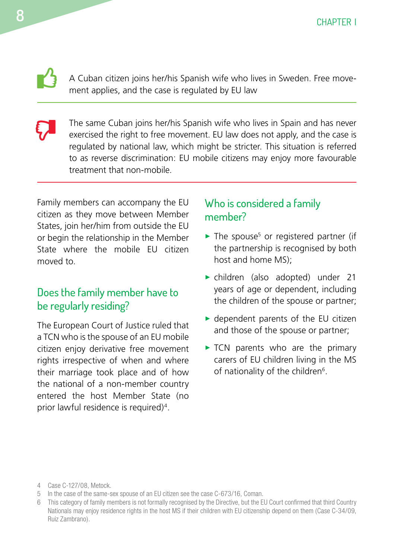A Cuban citizen joins her/his Spanish wife who lives in Sweden. Free movement applies, and the case is regulated by EU law

The same Cuban joins her/his Spanish wife who lives in Spain and has never exercised the right to free movement. EU law does not apply, and the case is regulated by national law, which might be stricter. This situation is referred to as reverse discrimination: EU mobile citizens may enjoy more favourable treatment that non-mobile.  $\boldsymbol{\nabla}$ 

Family members can accompany the EU citizen as they move between Member States, join her/him from outside the EU or begin the relationship in the Member State where the mobile EU citizen moved to.

### Does the family member have to be regularly residing?

The European Court of Justice ruled that a TCN who is the spouse of an EU mobile citizen enjoy derivative free movement rights irrespective of when and where their marriage took place and of how the national of a non-member country entered the host Member State (no prior lawful residence is required)4.

### Who is considered a family member?

- $\blacktriangleright$  The spouse<sup>5</sup> or registered partner (if the partnership is recognised by both host and home MS);
- **•** children (also adopted) under 21 years of age or dependent, including the children of the spouse or partner;
- $\blacktriangleright$  dependent parents of the EU citizen and those of the spouse or partner;
- $\triangleright$  TCN parents who are the primary carers of EU children living in the MS of nationality of the children<sup>6</sup>.

<span id="page-9-0"></span> $\mathbf{L}$ 

<sup>4</sup> Case C-127/08, Metock.

<sup>5</sup> In the case of the same-sex spouse of an EU citizen see the case C-673/16, Coman.

<sup>6</sup> This category of family members is not formally recognised by the Directive, but the EU Court confirmed that third Country Nationals may enjoy residence rights in the host MS if their children with EU citizenship depend on them (Case C-34/09, Ruiz Zambrano).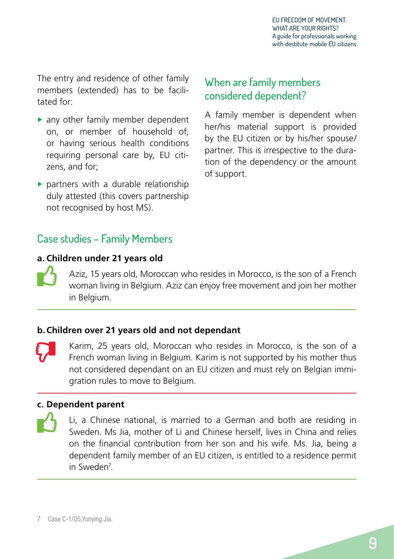<span id="page-10-0"></span>The entry and residence of other family members (extended) has to be facilitated for:

- $\blacktriangleright$  any other family member dependent on, or member of household of, or having serious health conditions requiring personal care by, EU citizens, and for;
- $\triangleright$  partners with a durable relationship duly attested (this covers partnership not recognised by host MS).

### When are family members considered dependent?

A family member is dependent when her/his material support is provided by the EU citizen or by his/her spouse/ partner. This is irrespective to the duration of the dependency or the amount of support.

### Case studies – Family Members

### **a. Children under 21 years old**  $\mathbf{L}$

Aziz, 15 years old, Moroccan who resides in Morocco, is the son of a French woman living in Belgium. Aziz can enjoy free movement and join her mother in Belgium.

### **b.Children over 21 years old and not dependant**

Karim, 25 years old, Moroccan who resides in Morocco, is the son of a French woman living in Belgium. Karim is not supported by his mother thus not considered dependant on an EU citizen and must rely on Belgian immigration rules to move to Belgium.  $\boldsymbol{\nabla}$ 

### **c. Dependent parent**  $\mathbf{B}$

Li, a Chinese national, is married to a German and both are residing in Sweden. Ms Jia, mother of Li and Chinese herself, lives in China and relies on the financial contribution from her son and his wife. Ms. Jia, being a dependent family member of an EU citizen, is entitled to a residence permit in Sweden7 *.*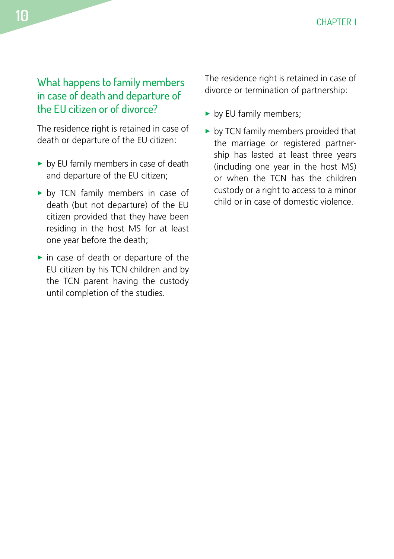<span id="page-11-0"></span>What happens to family members in case of death and departure of the EU citizen or of divorce?

The residence right is retained in case of death or departure of the EU citizen:

- $\triangleright$  by EU family members in case of death and departure of the EU citizen;
- by TCN family members in case of death (but not departure) of the EU citizen provided that they have been residing in the host MS for at least one year before the death;
- $\blacktriangleright$  in case of death or departure of the EU citizen by his TCN children and by the TCN parent having the custody until completion of the studies.

The residence right is retained in case of divorce or termination of partnership:

- $\blacktriangleright$  by EU family members;
- $\blacktriangleright$  by TCN family members provided that the marriage or registered partnership has lasted at least three years (including one year in the host MS) or when the TCN has the children custody or a right to access to a minor child or in case of domestic violence.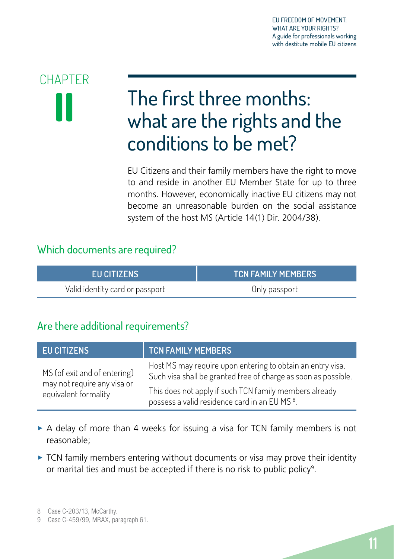# <span id="page-12-0"></span>**CHAPTER**

# <span id="page-12-1"></span>**II** The first three months:<br>
what are the rights and the conditions to be met?

EU Citizens and their family members have the right to move to and reside in another EU Member State for up to three months. However, economically inactive EU citizens may not become an unreasonable burden on the social assistance system of the host MS (Article 14(1) Dir. 2004/38).

### Which documents are required?

| EU CITIZENS                     | <b>TCN FAMILY MEMBERS</b> |
|---------------------------------|---------------------------|
| Valid identity card or passport | Only passport             |

### Are there additional requirements?

| <b>EU CITIZENS</b>                                          | <b>TCN FAMILY MEMBERS</b>                                                                                                    |
|-------------------------------------------------------------|------------------------------------------------------------------------------------------------------------------------------|
| MS (of exit and of entering)<br>may not require any visa or | Host MS may require upon entering to obtain an entry visa.<br>Such visa shall be granted free of charge as soon as possible. |
| equivalent formality                                        | This does not apply if such TCN family members already<br>possess a valid residence card in an EU MS <sup>8</sup> .          |

- $\triangleright$  A delay of more than 4 weeks for issuing a visa for TCN family members is not reasonable;
- $\triangleright$  TCN family members entering without documents or visa may prove their identity or marital ties and must be accepted if there is no risk to public policy<sup>9</sup>.

8 Case C-203/13, McCarthy.

<sup>9</sup> Case C-459/99, MRAX, paragraph 61.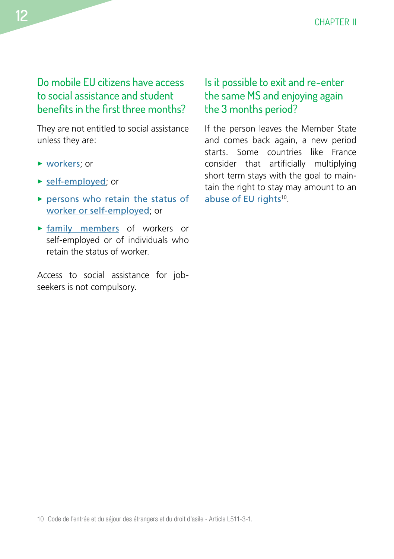<span id="page-13-0"></span>Do mobile EU citizens have access to social assistance and student benefits in the first three months?

They are not entitled to social assistance unless they are:

- $\triangleright$  w[orkers](#page-25-1); or
- [self-employed](#page-27-1); or
- **>** [persons who retain the status of](#page-28-1) [worker or self-employed](#page-28-1); or
- $\triangleright$  [family members](#page-8-2) of workers or self-employed or of individuals who retain the status of worker.

Access to social assistance for jobseekers is not compulsory.

### Is it possible to exit and re-enter the same MS and enjoying again the 3 months period?

If the person leaves the Member State and comes back again, a new period starts. Some countries like France consider that artificially multiplying short term stays with the goal to maintain the right to stay may amount to an [abuse of EU rights](#page-42-1)<sup>10</sup>.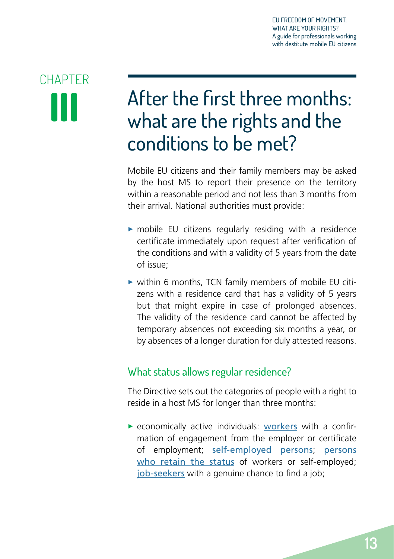# <span id="page-14-0"></span>**CHAPTER III**

# <span id="page-14-1"></span>After the first three months: what are the rights and the conditions to be met?

Mobile EU citizens and their family members may be asked by the host MS to report their presence on the territory within a reasonable period and not less than 3 months from their arrival. National authorities must provide:

- $\triangleright$  mobile EU citizens regularly residing with a residence certificate immediately upon request after verification of the conditions and with a validity of 5 years from the date of issue;
- $\triangleright$  within 6 months, TCN family members of mobile EU citizens with a residence card that has a validity of 5 years but that might expire in case of prolonged absences. The validity of the residence card cannot be affected by temporary absences not exceeding six months a year, or by absences of a longer duration for duly attested reasons.

### <span id="page-14-2"></span>What status allows regular residence?

The Directive sets out the categories of people with a right to reside in a host MS for longer than three months:

 $\triangleright$  economically active individuals: [workers](#page-25-1) with a confirmation of engagement from the employer or certificate of employment; [self-employed persons](#page-27-1); [persons](#page-28-1)  [who retain the status](#page-28-1) of workers or self-employed: [job-seekers](#page-29-1) with a genuine chance to find a job;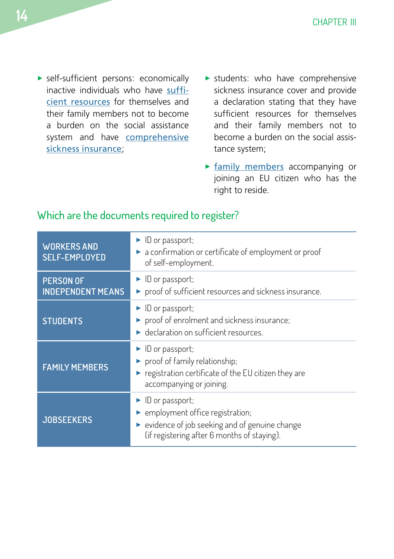- <span id="page-15-0"></span> $\blacktriangleright$  self-sufficient persons: economically inactive individuals who have [suffi](#page-31-1)[cient resources](#page-31-1) for themselves and their family members not to become a burden on the social assistance system and have **[comprehensive](#page-33-1)** [sickness insurance](#page-33-1);
- $\triangleright$  students: who have comprehensive sickness insurance cover and provide a declaration stating that they have sufficient resources for themselves and their family members not to become a burden on the social assistance system;
- $\triangleright$  [family members](#page-8-2) accompanying or joining an EU citizen who has the right to reside.

| <b>WORKERS AND</b><br><b>SELF-EMPLOYED</b>   | $\blacktriangleright$ ID or passport;<br>a confirmation or certificate of employment or proof<br>of self-employment.                                      |
|----------------------------------------------|-----------------------------------------------------------------------------------------------------------------------------------------------------------|
| <b>PERSON OF</b><br><b>INDEPENDENT MEANS</b> | • ID or passport;<br>proof of sufficient resources and sickness insurance.                                                                                |
| <b>STUDENTS</b>                              | $\blacktriangleright$ ID or passport;<br>proof of enrolment and sickness insurance;<br>► declaration on sufficient resources.                             |
| <b>FAMILY MEMBERS</b>                        | $\blacktriangleright$ ID or passport;<br>proof of family relationship;<br>registration certificate of the EU citizen they are<br>accompanying or joining. |
| <b>JOBSEEKERS</b>                            | ID or passport;<br>▶ employment office registration;<br>• evidence of job seeking and of genuine change<br>(if registering after 6 months of staying).    |

### Which are the documents required to register?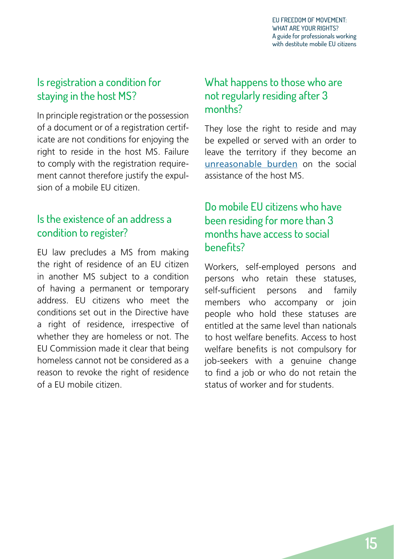### <span id="page-16-0"></span>Is registration a condition for staying in the host MS?

In principle registration or the possession of a document or of a registration certificate are not conditions for enjoying the right to reside in the host MS. Failure to comply with the registration requirement cannot therefore justify the expulsion of a mobile EU citizen.

### Is the existence of an address a condition to register?

EU law precludes a MS from making the right of residence of an EU citizen in another MS subject to a condition of having a permanent or temporary address. EU citizens who meet the conditions set out in the Directive have a right of residence, irrespective of whether they are homeless or not. The EU Commission made it clear that being homeless cannot not be considered as a reason to revoke the right of residence of a EU mobile citizen.

### What happens to those who are not regularly residing after 3 months?

They lose the right to reside and may be expelled or served with an order to leave the territory if they become an [unreasonable burden](#page-41-1) on the social assistance of the host MS.

### Do mobile EU citizens who have been residing for more than 3 months have access to social benefits?

Workers, self-employed persons and persons who retain these statuses, self-sufficient persons and family members who accompany or join people who hold these statuses are entitled at the same level than nationals to host welfare benefits. Access to host welfare benefits is not compulsory for job-seekers with a genuine change to find a job or who do not retain the status of worker and for students.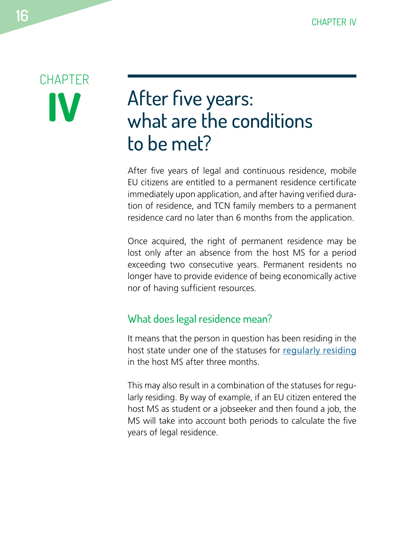# <span id="page-17-0"></span>**CHAPTER IV**

### <span id="page-17-1"></span>After five years: what are the conditions to be met?

After five years of legal and continuous residence, mobile EU citizens are entitled to a permanent residence certificate immediately upon application, and after having verified duration of residence, and TCN family members to a permanent residence card no later than 6 months from the application.

Once acquired, the right of permanent residence may be lost only after an absence from the host MS for a period exceeding two consecutive years. Permanent residents no longer have to provide evidence of being economically active nor of having sufficient resources.

### What does legal residence mean?

It means that the person in question has been residing in the host state under one of the statuses for [regularly residing](#page-14-2) in the host MS after three months.

This may also result in a combination of the statuses for regularly residing. By way of example, if an EU citizen entered the host MS as student or a jobseeker and then found a job, the MS will take into account both periods to calculate the five years of legal residence.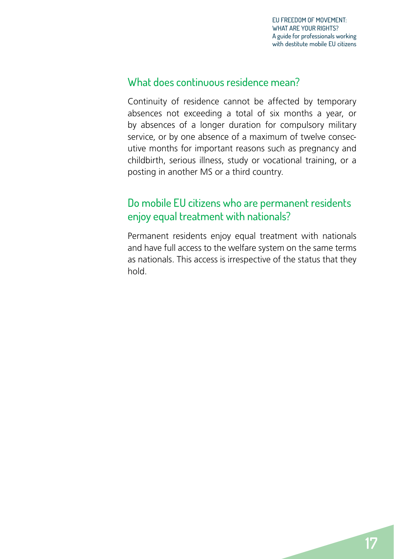### <span id="page-18-0"></span>What does continuous residence mean?

Continuity of residence cannot be affected by temporary absences not exceeding a total of six months a year, or by absences of a longer duration for compulsory military service, or by one absence of a maximum of twelve consecutive months for important reasons such as pregnancy and childbirth, serious illness, study or vocational training, or a posting in another MS or a third country.

### Do mobile EU citizens who are permanent residents enjoy equal treatment with nationals?

Permanent residents enjoy equal treatment with nationals and have full access to the welfare system on the same terms as nationals. This access is irrespective of the status that they hold.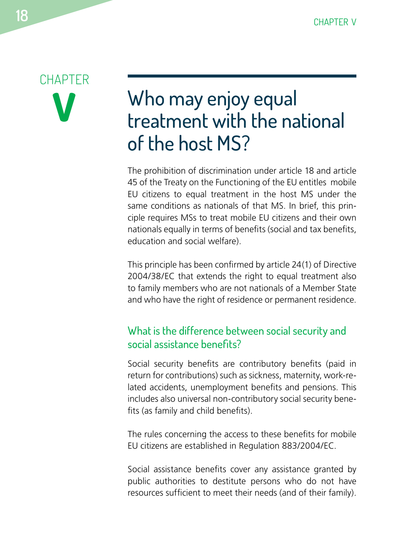# <span id="page-19-0"></span>**CHAPTER V**

# Who may enjoy equal treatment with the national of the host MS?

The prohibition of discrimination under article 18 and article 45 of the Treaty on the Functioning of the EU entitles mobile EU citizens to equal treatment in the host MS under the same conditions as nationals of that MS. In brief, this principle requires MSs to treat mobile EU citizens and their own nationals equally in terms of benefits (social and tax benefits, education and social welfare).

This principle has been confirmed by article 24(1) of Directive 2004/38/EC that extends the right to equal treatment also to family members who are not nationals of a Member State and who have the right of residence or permanent residence.

### What is the difference between social security and social assistance benefits?

Social security benefits are contributory benefits (paid in return for contributions) such as sickness, maternity, work-related accidents, unemployment benefits and pensions. This includes also universal non-contributory social security benefits (as family and child benefits).

The rules concerning the access to these benefits for mobile EU citizens are established in Regulation 883/2004/EC.

Social assistance benefits cover any assistance granted by public authorities to destitute persons who do not have resources sufficient to meet their needs (and of their family).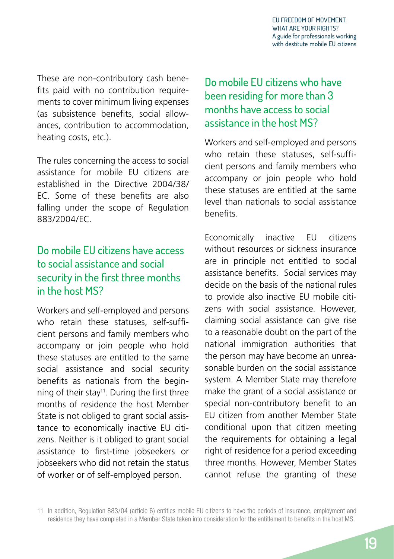<span id="page-20-0"></span>These are non-contributory cash benefits paid with no contribution requirements to cover minimum living expenses (as subsistence benefits, social allowances, contribution to accommodation, heating costs, etc.).

The rules concerning the access to social assistance for mobile EU citizens are established in the Directive 2004/38/ EC. Some of these benefits are also falling under the scope of Regulation 883/2004/EC.

### Do mobile EU citizens have access to social assistance and social security in the first three months in the host MS?

Workers and self-employed and persons who retain these statuses, self-sufficient persons and family members who accompany or join people who hold these statuses are entitled to the same social assistance and social security benefits as nationals from the beginning of their stay<sup>11</sup>. During the first three months of residence the host Member State is not obliged to grant social assistance to economically inactive EU citizens. Neither is it obliged to grant social assistance to first-time jobseekers or jobseekers who did not retain the status of worker or of self-employed person.

### Do mobile EU citizens who have been residing for more than 3 months have access to social assistance in the host MS?

Workers and self-employed and persons who retain these statuses, self-sufficient persons and family members who accompany or join people who hold these statuses are entitled at the same level than nationals to social assistance benefits.

Economically inactive EU citizens without resources or sickness insurance are in principle not entitled to social assistance benefits. Social services may decide on the basis of the national rules to provide also inactive EU mobile citizens with social assistance. However, claiming social assistance can give rise to a reasonable doubt on the part of the national immigration authorities that the person may have become an unreasonable burden on the social assistance system. A Member State may therefore make the grant of a social assistance or special non-contributory benefit to an EU citizen from another Member State conditional upon that citizen meeting the requirements for obtaining a legal right of residence for a period exceeding three months. However, Member States cannot refuse the granting of these

11 In addition, Regulation 883/04 (article 6) entitles mobile EU citizens to have the periods of insurance, employment and residence they have completed in a Member State taken into consideration for the entitlement to benefits in the host MS.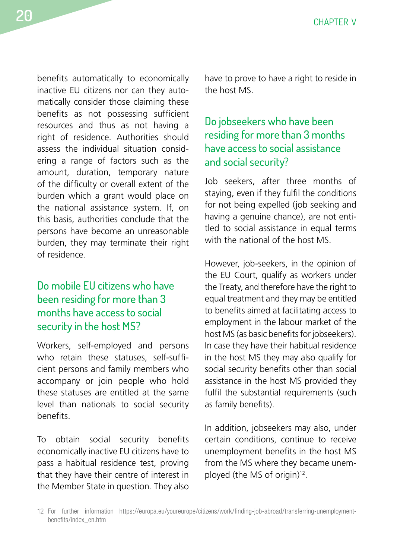<span id="page-21-0"></span>benefits automatically to economically inactive EU citizens nor can they automatically consider those claiming these benefits as not possessing sufficient resources and thus as not having a right of residence. Authorities should assess the individual situation considering a range of factors such as the amount, duration, temporary nature of the difficulty or overall extent of the burden which a grant would place on the national assistance system. If, on this basis, authorities conclude that the persons have become an unreasonable burden, they may terminate their right of residence.

### Do mobile EU citizens who have been residing for more than 3 months have access to social security in the host MS?

Workers, self-employed and persons who retain these statuses, self-sufficient persons and family members who accompany or join people who hold these statuses are entitled at the same level than nationals to social security benefits.

To obtain social security benefits economically inactive EU citizens have to pass a habitual residence test, proving that they have their centre of interest in the Member State in question. They also

have to prove to have a right to reside in the host MS.

### Do jobseekers who have been residing for more than 3 months have access to social assistance and social security?

Job seekers, after three months of staying, even if they fulfil the conditions for not being expelled (job seeking and having a genuine chance), are not entitled to social assistance in equal terms with the national of the host MS.

However, job-seekers, in the opinion of the EU Court, qualify as workers under the Treaty, and therefore have the right to equal treatment and they may be entitled to benefits aimed at facilitating access to employment in the labour market of the host MS (as basic benefits for jobseekers). In case they have their habitual residence in the host MS they may also qualify for social security benefits other than social assistance in the host MS provided they fulfil the substantial requirements (such as family benefits).

In addition, jobseekers may also, under certain conditions, continue to receive unemployment benefits in the host MS from the MS where they became unemployed (the MS of origin)<sup>12</sup>.

<sup>12</sup> For further information https://europa.eu/youreurope/citizens/work/finding-job-abroad/transferring-unemploymentbenefits/index\_en.htm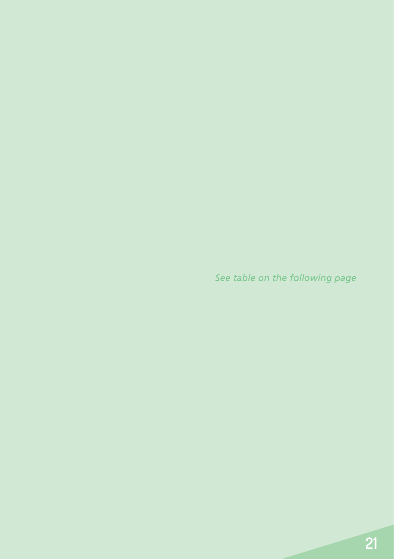*See table on the following page*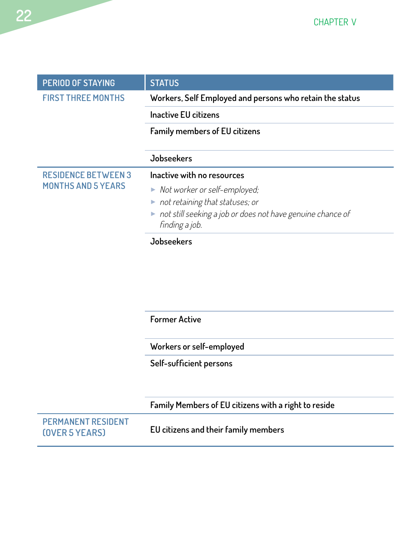| PERIOD OF STAYING          | <b>STATUS</b>                                              |
|----------------------------|------------------------------------------------------------|
| <b>FIRST THREE MONTHS</b>  | Workers, Self Employed and persons who retain the status   |
|                            | <b>Inactive EU citizens</b>                                |
|                            | Family members of EU citizens                              |
|                            |                                                            |
|                            | <b>Jobseekers</b>                                          |
| <b>RESIDENCE BETWEEN 3</b> | Inactive with no resources                                 |
| <b>MONTHS AND 5 YEARS</b>  | Not worker or self-employed;                               |
|                            | not retaining that statuses; or                            |
|                            | not still seeking a job or does not have genuine chance of |
|                            | finding a job.                                             |
|                            | Jobseekers                                                 |

**Former Active Social assistance like national citizens as long as long as the status of worker or self-employed person** 

**Workers or self-employed** 

Self-sufficient persons

|                                             | Family Members of EU citizens with a right to reside |
|---------------------------------------------|------------------------------------------------------|
| <b>PERMANENT RESIDENT</b><br>(OVER 5 YEARS) | EU citizens and their family members                 |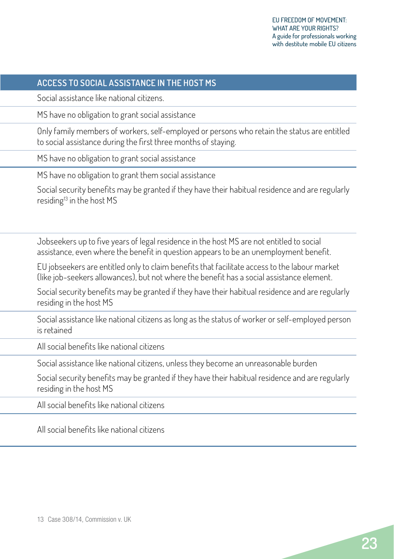### **PERIOD OF STAYING STATUS ACCESS TO SOCIAL ASSISTANCE IN THE HOST MS**

**FIRST THREE MONTHS Workers, Self Employed and persons who retain the status** Social assistance like national citizens.

**In the EU citize** MS have no obligation to grant social assistance

Only family members of workers, self-employed or persons who retain the status are entitled to social assistance during the first three months of staying.

MS have no obligation to grant social assistance

MS have no obligation to grant them social assistance

Social security benefits may be granted if they have their habitual residence and are regularly residing<sup>13</sup> in the host MS

**Jobseekers** Jobseekers up to five years of legal residence in the host MS are not entitled to social assistance, even where the benefit in question appears to be an unemployment benefit.

EU jobseekers are entitled only to claim benefits that facilitate access to the labour market (like job-seekers allowances), but not where the benefit has a social assistance element.

Social security benefits may be granted if they have their habitual residence and are regularly residing in the host MS

**Former Active** Social assistance like national citizens as long as the status of worker or self-employed person is retained

**Workers or self-employed** All social benefits like national citizens

Social assistance like national citizens, unless they become an unreasonable burden

Social security benefits may be granted if they have their habitual residence and are regularly residing in the host MS

**Family Members of EU citizens with a right to reside** All social benefits like national citizens

**(OVER 5 YEARS) EU citizens and their family members** All social benefits like national citizens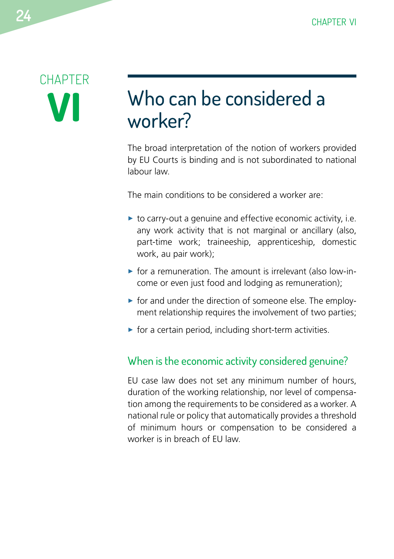# <span id="page-25-0"></span>**CHAPTER VI**

### <span id="page-25-1"></span>Who can be considered a worker?

The broad interpretation of the notion of workers provided by EU Courts is binding and is not subordinated to national labour law.

The main conditions to be considered a worker are:

- $\triangleright$  to carry-out a genuine and effective economic activity, i.e. any work activity that is not marginal or ancillary (also, part-time work; traineeship, apprenticeship, domestic work, au pair work);
- $\triangleright$  for a remuneration. The amount is irrelevant (also low-income or even just food and lodging as remuneration);
- $\triangleright$  for and under the direction of someone else. The employment relationship requires the involvement of two parties;
- $\triangleright$  for a certain period, including short-term activities.

### When is the economic activity considered genuine?

EU case law does not set any minimum number of hours, duration of the working relationship, nor level of compensation among the requirements to be considered as a worker. A national rule or policy that automatically provides a threshold of minimum hours or compensation to be considered a worker is in breach of EU law.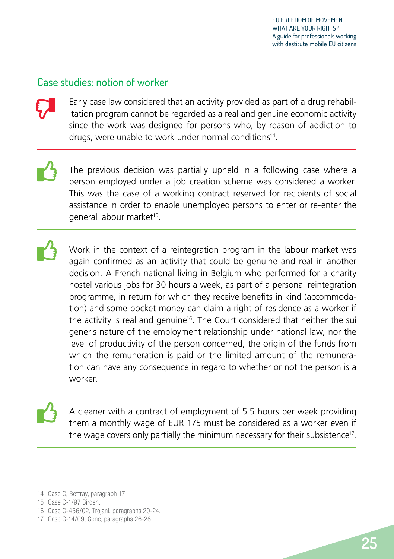### <span id="page-26-0"></span>Case studies: notion of worker

 $\boldsymbol{\nabla}$ 

Early case law considered that an activity provided as part of a drug rehabilitation program cannot be regarded as a real and genuine economic activity since the work was designed for persons who, by reason of addiction to drugs, were unable to work under normal conditions<sup>14</sup>.

The previous decision was partially upheld in a following case where a person employed under a job creation scheme was considered a worker. This was the case of a working contract reserved for recipients of social assistance in order to enable unemployed persons to enter or re-enter the general labour market<sup>15</sup>.  $\mathbf{L}$ 

Work in the context of a reintegration program in the labour market was again confirmed as an activity that could be genuine and real in another decision. A French national living in Belgium who performed for a charity hostel various jobs for 30 hours a week, as part of a personal reintegration programme, in return for which they receive benefits in kind (accommodation) and some pocket money can claim a right of residence as a worker if the activity is real and genuine<sup>16</sup>. The Court considered that neither the sui generis nature of the employment relationship under national law, nor the level of productivity of the person concerned, the origin of the funds from which the remuneration is paid or the limited amount of the remuneration can have any consequence in regard to whether or not the person is a worker.  $\mathbf{L}$ 

A cleaner with a contract of employment of 5.5 hours per week providing them a monthly wage of EUR 175 must be considered as a worker even if the wage covers only partially the minimum necessary for their subsistence<sup>17</sup>.

14 Case C, Bettray, paragraph 17.

 $\mathbf{B}$ 

- 16 Case C-456/02, Trojani, paragraphs 20-24.
- 17 Case C-14/09, Genc, paragraphs 26-28.

<sup>15</sup> Case C-1/97 Birden.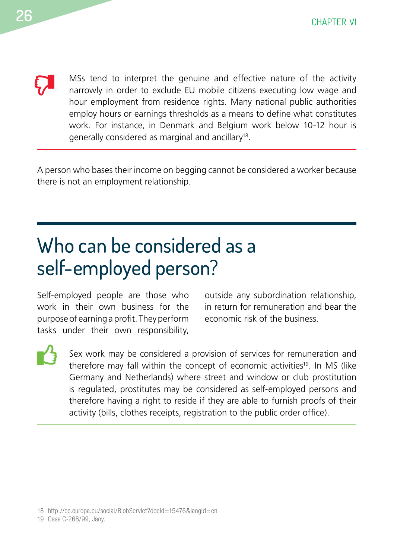<span id="page-27-0"></span> $\boldsymbol{\nabla}$ 

MSs tend to interpret the genuine and effective nature of the activity narrowly in order to exclude EU mobile citizens executing low wage and hour employment from residence rights. Many national public authorities employ hours or earnings thresholds as a means to define what constitutes work. For instance, in Denmark and Belgium work below 10-12 hour is generally considered as marginal and ancillary18.

A person who bases their income on begging cannot be considered a worker because there is not an employment relationship.

# <span id="page-27-1"></span>Who can be considered as a self-employed person?

Self-employed people are those who work in their own business for the purpose of earning a profit. They perform tasks under their own responsibility, outside any subordination relationship, in return for remuneration and bear the economic risk of the business.



Sex work may be considered a provision of services for remuneration and therefore may fall within the concept of economic activities<sup>19</sup>. In MS (like Germany and Netherlands) where street and window or club prostitution is regulated, prostitutes may be considered as self-employed persons and therefore having a right to reside if they are able to furnish proofs of their activity (bills, clothes receipts, registration to the public order office).

18 <http://ec.europa.eu/social/BlobServlet?docId=15476&langId=en>

19 Case C-268/99, Jany.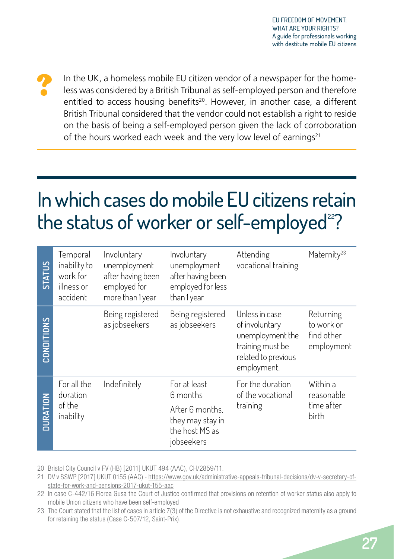<span id="page-28-0"></span>?

In the UK, a homeless mobile EU citizen vendor of a newspaper for the homeless was considered by a British Tribunal as self-employed person and therefore entitled to access housing benefits<sup>20</sup>. However, in another case, a different British Tribunal considered that the vendor could not establish a right to reside on the basis of being a self-employed person given the lack of corroboration of the hours worked each week and the very low level of earnings<sup>21</sup>

# <span id="page-28-1"></span>In which cases do mobile EU citizens retain the status of worker or self-employed $22$ ?

| STATUS     | Temporal<br>inability to<br>work for<br>illness or<br>accident | Involuntary<br>unemployment<br>after having been<br>employed for<br>more than 1 year | Involuntary<br>unemployment<br>after having been<br>employed for less<br>than 1 year | Attending<br>vocational training                                                                               | Maternity <sup>23</sup>                             |
|------------|----------------------------------------------------------------|--------------------------------------------------------------------------------------|--------------------------------------------------------------------------------------|----------------------------------------------------------------------------------------------------------------|-----------------------------------------------------|
| CONDITIONS |                                                                | Being registered<br>as jobseekers                                                    | Being registered<br>as jobseekers                                                    | Unless in case<br>of involuntary<br>unemployment the<br>training must be<br>related to previous<br>employment. | Returning<br>to work or<br>find other<br>employment |
|            | For all the<br>duration                                        | Indefinitely                                                                         | For at least<br>6 months                                                             | For the duration<br>of the vocational                                                                          | Within a<br>reasonable                              |
| DURATION   | of the<br>inability                                            | After 6 months,<br>they may stay in<br>the host MS as<br>jobseekers                  | training                                                                             | time after<br>birth                                                                                            |                                                     |

20 Bristol City Council v FV (HB) [2011] UKUT 494 (AAC), CH/2859/11.

21 DV v SSWP [2017] UKUT 0155 (AAC) - [https://www.gov.uk/administrative-appeals-tribunal-decisions/dv-v-secretary-of](https://www.gov.uk/administrative-appeals-tribunal-decisions/dv-v-secretary-of-state-for-work-and-pensions-2017-ukut-155-aac)[state-for-work-and-pensions-2017-ukut-155-aac](https://www.gov.uk/administrative-appeals-tribunal-decisions/dv-v-secretary-of-state-for-work-and-pensions-2017-ukut-155-aac)

<sup>22</sup> In case C-442/16 Florea Gusa the Court of Justice confirmed that provisions on retention of worker status also apply to mobile Union citizens who have been self-employed

<sup>23</sup> The Court stated that the list of cases in article 7(3) of the Directive is not exhaustive and recognized maternity as a ground for retaining the status (Case C-507/12, Saint-Prix).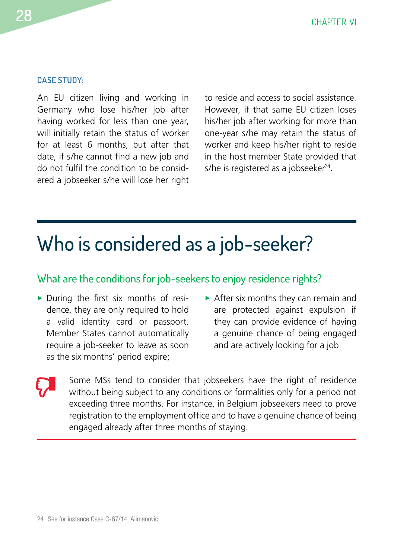#### <span id="page-29-0"></span>**CASE STUDY:**

An EU citizen living and working in Germany who lose his/her job after having worked for less than one year, will initially retain the status of worker for at least 6 months, but after that date, if s/he cannot find a new job and do not fulfil the condition to be considered a jobseeker s/he will lose her right to reside and access to social assistance. However, if that same EU citizen loses his/her job after working for more than one-year s/he may retain the status of worker and keep his/her right to reside in the host member State provided that s/he is registered as a jobseeker $24$ .

### <span id="page-29-1"></span>Who is considered as a job-seeker?

### What are the conditions for job-seekers to enjoy residence rights?

- $\triangleright$  During the first six months of residence, they are only required to hold a valid identity card or passport. Member States cannot automatically require a job-seeker to leave as soon as the six months' period expire;
- $\blacktriangleright$  After six months they can remain and are protected against expulsion if they can provide evidence of having a genuine chance of being engaged and are actively looking for a job

 $\boldsymbol{\nabla}$ 

Some MSs tend to consider that jobseekers have the right of residence without being subject to any conditions or formalities only for a period not exceeding three months. For instance, in Belgium jobseekers need to prove registration to the employment office and to have a genuine chance of being engaged already after three months of staying.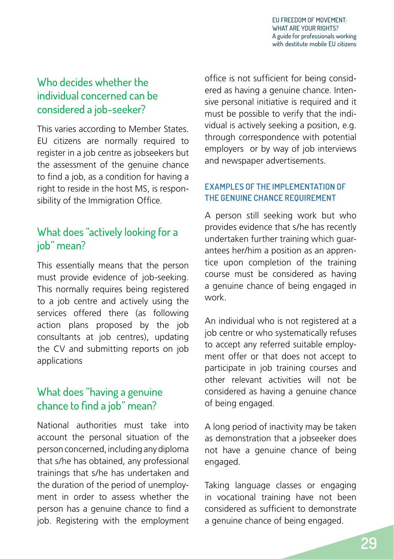### <span id="page-30-0"></span>Who decides whether the individual concerned can be considered a job-seeker?

This varies according to Member States. EU citizens are normally required to register in a job centre as jobseekers but the assessment of the genuine chance to find a job, as a condition for having a right to reside in the host MS, is responsibility of the Immigration Office.

### What does "actively looking for a job" mean?

This essentially means that the person must provide evidence of job-seeking. This normally requires being registered to a job centre and actively using the services offered there (as following action plans proposed by the job consultants at job centres), updating the CV and submitting reports on job applications

### What does "having a genuine chance to find a job" mean?

National authorities must take into account the personal situation of the person concerned, including any diploma that s/he has obtained, any professional trainings that s/he has undertaken and the duration of the period of unemployment in order to assess whether the person has a genuine chance to find a job. Registering with the employment office is not sufficient for being considered as having a genuine chance. Intensive personal initiative is required and it must be possible to verify that the individual is actively seeking a position, e.g. through correspondence with potential employers or by way of job interviews and newspaper advertisements.

#### **EXAMPLES OF THE IMPLEMENTATION OF THE GENUINE CHANCE REQUIREMENT**

A person still seeking work but who provides evidence that s/he has recently undertaken further training which guarantees her/him a position as an apprentice upon completion of the training course must be considered as having a genuine chance of being engaged in work.

An individual who is not registered at a job centre or who systematically refuses to accept any referred suitable employment offer or that does not accept to participate in job training courses and other relevant activities will not be considered as having a genuine chance of being engaged.

A long period of inactivity may be taken as demonstration that a jobseeker does not have a genuine chance of being engaged.

Taking language classes or engaging in vocational training have not been considered as sufficient to demonstrate a genuine chance of being engaged.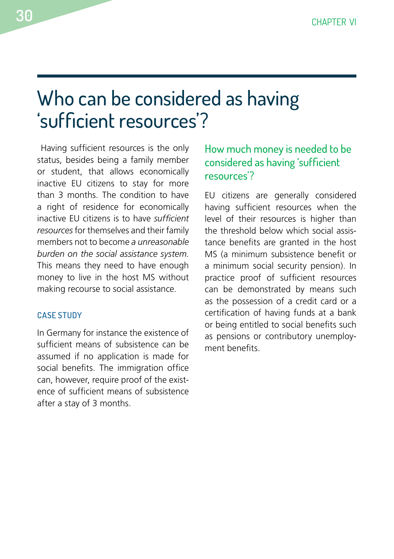### <span id="page-31-1"></span><span id="page-31-0"></span>Who can be considered as having 'sufficient resources'?

 Having sufficient resources is the only status, besides being a family member or student, that allows economically inactive EU citizens to stay for more than 3 months. The condition to have a right of residence for economically inactive EU citizens is to have *sufficient resources* for themselves and their family members not to become *a unreasonable burden on the social assistance system*. This means they need to have enough money to live in the host MS without making recourse to social assistance.

#### **CASE STUDY**

In Germany for instance the existence of sufficient means of subsistence can be assumed if no application is made for social benefits. The immigration office can, however, require proof of the existence of sufficient means of subsistence after a stay of 3 months.

### How much money is needed to be considered as having 'sufficient resources'?

EU citizens are generally considered having sufficient resources when the level of their resources is higher than the threshold below which social assistance benefits are granted in the host MS (a minimum subsistence benefit or a minimum social security pension). In practice proof of sufficient resources can be demonstrated by means such as the possession of a credit card or a certification of having funds at a bank or being entitled to social benefits such as pensions or contributory unemployment benefits.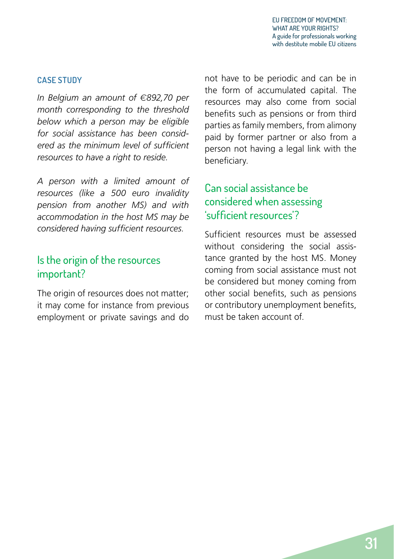#### <span id="page-32-0"></span>**CASE STUDY**

*In Belgium an amount of* €*892,70 per month corresponding to the threshold below which a person may be eligible for social assistance has been considered as the minimum level of sufficient resources to have a right to reside.* 

*A person with a limited amount of resources (like a 500 euro invalidity pension from another MS) and with accommodation in the host MS may be considered having sufficient resources.* 

### Is the origin of the resources important?

The origin of resources does not matter; it may come for instance from previous employment or private savings and do not have to be periodic and can be in the form of accumulated capital. The resources may also come from social benefits such as pensions or from third parties as family members, from alimony paid by former partner or also from a person not having a legal link with the beneficiary.

### Can social assistance be considered when assessing 'sufficient resources'?

Sufficient resources must be assessed without considering the social assistance granted by the host MS. Money coming from social assistance must not be considered but money coming from other social benefits, such as pensions or contributory unemployment benefits, must be taken account of.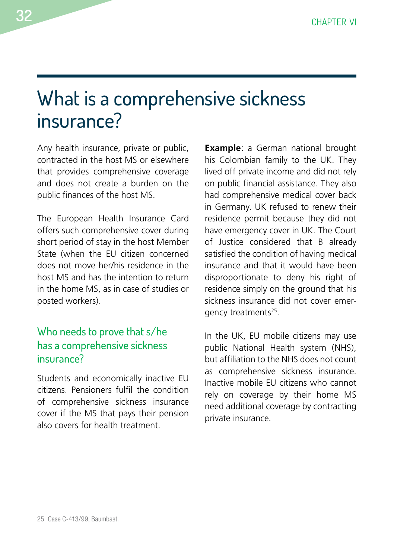### <span id="page-33-1"></span><span id="page-33-0"></span>What is a comprehensive sickness insurance?

Any health insurance, private or public, contracted in the host MS or elsewhere that provides comprehensive coverage and does not create a burden on the public finances of the host MS.

The European Health Insurance Card offers such comprehensive cover during short period of stay in the host Member State (when the EU citizen concerned does not move her/his residence in the host MS and has the intention to return in the home MS, as in case of studies or posted workers).

### Who needs to prove that s/he has a comprehensive sickness insurance?

Students and economically inactive EU citizens. Pensioners fulfil the condition of comprehensive sickness insurance cover if the MS that pays their pension also covers for health treatment.

**Example**: a German national brought his Colombian family to the UK. They lived off private income and did not rely on public financial assistance. They also had comprehensive medical cover back in Germany. UK refused to renew their residence permit because they did not have emergency cover in UK. The Court of Justice considered that B already satisfied the condition of having medical insurance and that it would have been disproportionate to deny his right of residence simply on the ground that his sickness insurance did not cover emergency treatments<sup>25</sup>.

In the UK, EU mobile citizens may use public National Health system (NHS), but affiliation to the NHS does not count as comprehensive sickness insurance. Inactive mobile EU citizens who cannot rely on coverage by their home MS need additional coverage by contracting private insurance.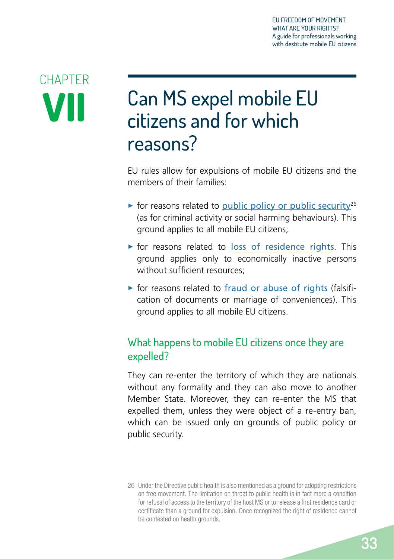# <span id="page-34-0"></span>**CHAPTER VII**

# Can MS expel mobile EU citizens and for which reasons?

EU rules allow for expulsions of mobile EU citizens and the members of their families:

- $\triangleright$  for reasons related to [public policy or public security](#page-35-1)<sup>26</sup> (as for criminal activity or social harming behaviours). This ground applies to all mobile EU citizens;
- $\triangleright$  for reasons related to [loss of residence rights](#page-39-1). This ground applies only to economically inactive persons without sufficient resources;
- $\triangleright$  for reasons related to [fraud or abuse of rights](#page-42-1) (falsification of documents or marriage of conveniences). This ground applies to all mobile EU citizens.

### What happens to mobile EU citizens once they are expelled?

They can re-enter the territory of which they are nationals without any formality and they can also move to another Member State. Moreover, they can re-enter the MS that expelled them, unless they were object of a re-entry ban, which can be issued only on grounds of public policy or public security.

<sup>26</sup> Under the Directive public health is also mentioned as a ground for adopting restrictions on free movement. The limitation on threat to public health is in fact more a condition for refusal of access to the territory of the host MS or to release a first residence card or certificate than a ground for expulsion. Once recognized the right of residence cannot be contested on health grounds.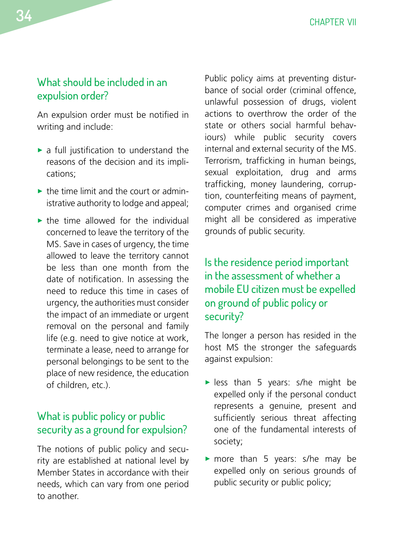### <span id="page-35-0"></span>What should be included in an expulsion order?

An expulsion order must be notified in writing and include:

- $\blacktriangleright$  a full justification to understand the reasons of the decision and its implications;
- $\triangleright$  the time limit and the court or administrative authority to lodge and appeal;
- $\blacktriangleright$  the time allowed for the individual concerned to leave the territory of the MS. Save in cases of urgency, the time allowed to leave the territory cannot be less than one month from the date of notification. In assessing the need to reduce this time in cases of urgency, the authorities must consider the impact of an immediate or urgent removal on the personal and family life (e.g. need to give notice at work, terminate a lease, need to arrange for personal belongings to be sent to the place of new residence, the education of children, etc.).

### <span id="page-35-1"></span>What is public policy or public security as a ground for expulsion?

The notions of public policy and security are established at national level by Member States in accordance with their needs, which can vary from one period to another.

Public policy aims at preventing disturbance of social order (criminal offence, unlawful possession of drugs, violent actions to overthrow the order of the state or others social harmful behaviours) while public security covers internal and external security of the MS. Terrorism, trafficking in human beings, sexual exploitation, drug and arms trafficking, money laundering, corruption, counterfeiting means of payment, computer crimes and organised crime might all be considered as imperative grounds of public security.

### Is the residence period important in the assessment of whether a mobile EU citizen must be expelled on ground of public policy or security?

The longer a person has resided in the host MS the stronger the safeguards against expulsion:

- $\blacktriangleright$  less than 5 years: s/he might be expelled only if the personal conduct represents a genuine, present and sufficiently serious threat affecting one of the fundamental interests of society;
- $\triangleright$  more than 5 years: s/he may be expelled only on serious grounds of public security or public policy;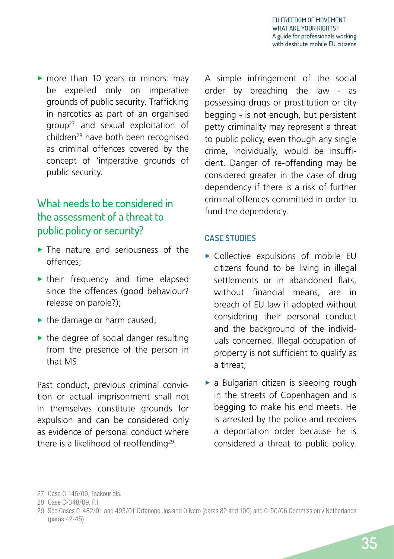<span id="page-36-0"></span> $\triangleright$  more than 10 years or minors: may be expelled only on imperative grounds of public security. Trafficking in narcotics as part of an organised group27 and sexual exploitation of children28 have both been recognised as criminal offences covered by the concept of 'imperative grounds of public security.

### What needs to be considered in the assessment of a threat to public policy or security?

- $\blacktriangleright$  The nature and seriousness of the offences;
- $\blacktriangleright$  their frequency and time elapsed since the offences (good behaviour? release on parole?);
- $\blacktriangleright$  the damage or harm caused:
- $\blacktriangleright$  the degree of social danger resulting from the presence of the person in that MS.

Past conduct, previous criminal conviction or actual imprisonment shall not in themselves constitute grounds for expulsion and can be considered only as evidence of personal conduct where there is a likelihood of reoffending<sup>29</sup>.

A simple infringement of the social order by breaching the law - as possessing drugs or prostitution or city begging - is not enough, but persistent petty criminality may represent a threat to public policy, even though any single crime, individually, would be insufficient. Danger of re-offending may be considered greater in the case of drug dependency if there is a risk of further criminal offences committed in order to fund the dependency.

### **CASE STUDIES**

- $\triangleright$  Collective expulsions of mobile EU citizens found to be living in illegal settlements or in abandoned flats. without financial means, are in breach of EU law if adopted without considering their personal conduct and the background of the individuals concerned. Illegal occupation of property is not sufficient to qualify as a threat;
- $\triangleright$  a Bulgarian citizen is sleeping rough in the streets of Copenhagen and is begging to make his end meets. He is arrested by the police and receives a deportation order because he is considered a threat to public policy.

<sup>27</sup> Case C-145/09, Tsakouridis.

<sup>28</sup> Case C-348/09, P.I.

<sup>29</sup> See Cases C-482/01 and 493/01 Orfanopoulos and Olivero (paras 82 and 100) and C-50/06 Commission v Netherlands (paras 42-45).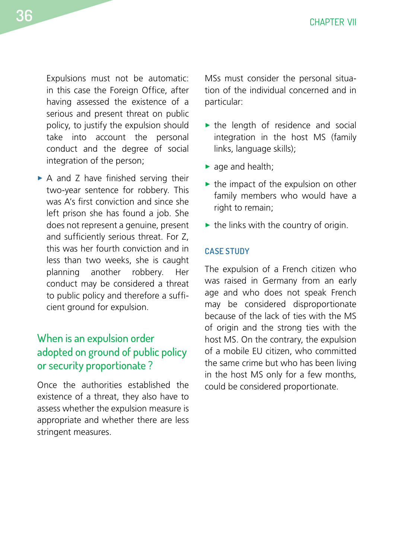<span id="page-37-0"></span>Expulsions must not be automatic: in this case the Foreign Office, after having assessed the existence of a serious and present threat on public policy, to justify the expulsion should take into account the personal conduct and the degree of social integration of the person;

 $\triangleright$  A and Z have finished serving their two-year sentence for robbery. This was A's first conviction and since she left prison she has found a job. She does not represent a genuine, present and sufficiently serious threat. For Z, this was her fourth conviction and in less than two weeks, she is caught planning another robbery. Her conduct may be considered a threat to public policy and therefore a sufficient ground for expulsion.

### When is an expulsion order adopted on ground of public policy or security proportionate ?

Once the authorities established the existence of a threat, they also have to assess whether the expulsion measure is appropriate and whether there are less stringent measures.

MSs must consider the personal situation of the individual concerned and in particular:

- $\blacktriangleright$  the length of residence and social integration in the host MS (family links, language skills);
- $\blacktriangleright$  age and health;
- $\blacktriangleright$  the impact of the expulsion on other family members who would have a right to remain;
- $\blacktriangleright$  the links with the country of origin.

#### **CASE STUDY**

The expulsion of a French citizen who was raised in Germany from an early age and who does not speak French may be considered disproportionate because of the lack of ties with the MS of origin and the strong ties with the host MS. On the contrary, the expulsion of a mobile EU citizen, who committed the same crime but who has been living in the host MS only for a few months, could be considered proportionate.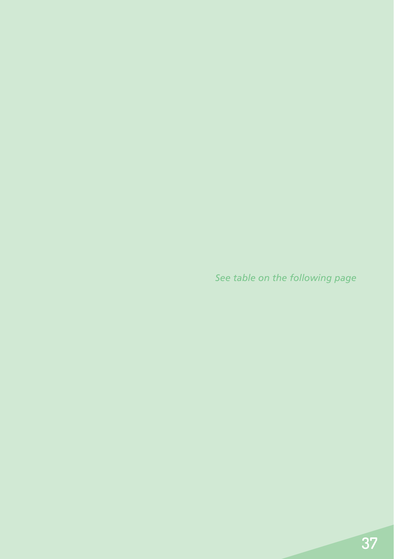*See table on the following page*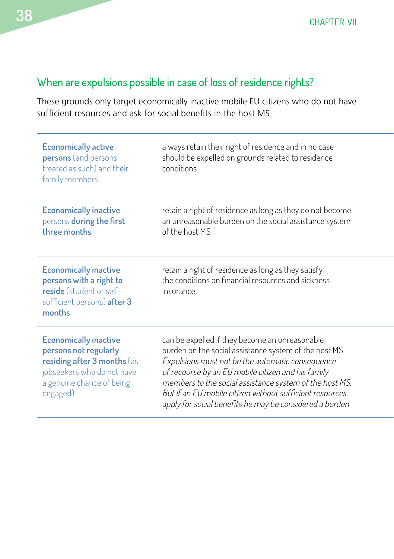<span id="page-39-0"></span>**38** CHAPTER VII

### <span id="page-39-1"></span>When are expulsions possible in case of loss of residence rights?

These grounds only target economically inactive mobile EU citizens who do not have sufficient resources and ask for social benefits in the host MS.

| <b>Economically active</b><br>persons (and persons<br>treated as such) and their<br>family members                                                          | always retain their right of residence and in no case<br>should be expelled on grounds related to residence<br>conditions                                                                                                                                                                                                                                                                            |
|-------------------------------------------------------------------------------------------------------------------------------------------------------------|------------------------------------------------------------------------------------------------------------------------------------------------------------------------------------------------------------------------------------------------------------------------------------------------------------------------------------------------------------------------------------------------------|
| <b>Economically inactive</b><br>persons during the first<br>three months                                                                                    | retain a right of residence as long as they do not become<br>an unreasonable burden on the social assistance system<br>of the host MS                                                                                                                                                                                                                                                                |
| <b>Economically inactive</b><br>persons with a right to<br>reside (student or self-<br>sufficient persons) after 3<br>months                                | retain a right of residence as long as they satisfy<br>the conditions on financial resources and sickness<br>insurance.                                                                                                                                                                                                                                                                              |
| <b>Economically inactive</b><br>persons not regularly<br>residing after 3 months las<br>jobseekers who do not have<br>a genuine chance of being<br>engaged) | can be expelled if they become an unreasonable<br>burden on the social assistance system of the host MS.<br>Expulsions must not be the automatic consequence<br>of recourse by an EU mobile citizen and his family<br>members to the social assistance system of the host MS.<br>But If an EU mobile citizen without sufficient resources<br>apply for social benefits he may be considered a burden |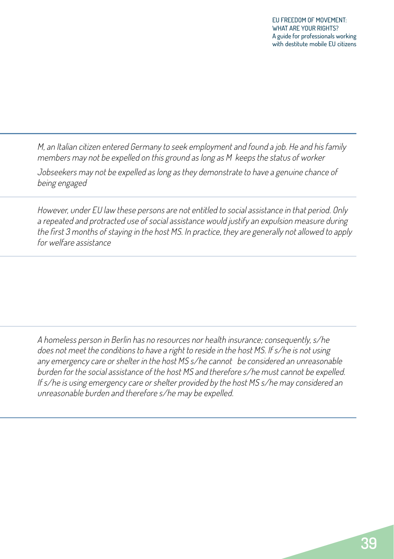M, an Italian citizen entered Germany to seek employment and found a job. He and his family members may not be expelled on this ground as long as M keeps the status of worker

Jobseekers may not be expelled as long as they demonstrate to have a genuine chance of being engaged

However, under EU law these persons are not entitled to social assistance in that period. Only a repeated and protracted use of social assistance would justify an expulsion measure during the first 3 months of staying in the host MS. In practice, they are generally not allowed to apply for welfare assistance

A homeless person in Berlin has no resources nor health insurance; consequently, s/he does not meet the conditions to have a right to reside in the host MS. If s/he is not using any emergency care or shelter in the host MS s/he cannot be considered an unreasonable burden for the social assistance of the host MS and therefore s/he must cannot be expelled. If s/he is using emergency care or shelter provided by the host MS s/he may considered an unreasonable burden and therefore s/he may be expelled.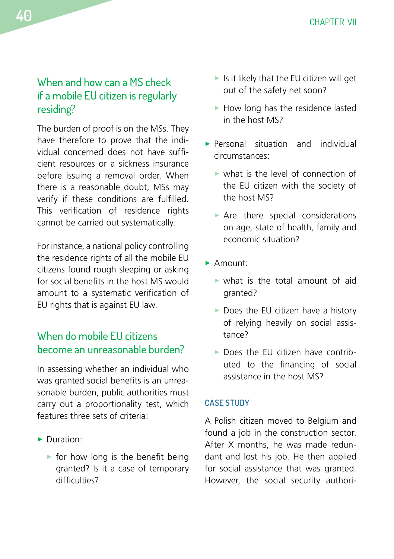### <span id="page-41-0"></span>When and how can a MS check if a mobile EU citizen is regularly residing?

The burden of proof is on the MSs. They have therefore to prove that the individual concerned does not have sufficient resources or a sickness insurance before issuing a removal order. When there is a reasonable doubt, MSs may verify if these conditions are fulfilled. This verification of residence rights cannot be carried out systematically.

For instance, a national policy controlling the residence rights of all the mobile EU citizens found rough sleeping or asking for social benefits in the host MS would amount to a systematic verification of EU rights that is against EU law.

### <span id="page-41-1"></span>When do mobile EU citizens become an unreasonable burden?

In assessing whether an individual who was granted social benefits is an unreasonable burden, public authorities must carry out a proportionality test, which features three sets of criteria:

- Duration:
	- $\triangleright$  for how long is the benefit being granted? Is it a case of temporary difficulties?
- $\blacktriangleright$  Is it likely that the EU citizen will get out of the safety net soon?
- $\blacktriangleright$  How long has the residence lasted in the host MS?
- **> Personal situation and individual** circumstances:
	- $\triangleright$  what is the level of connection of the EU citizen with the society of the host MS?
	- $\triangleright$  Are there special considerations on age, state of health, family and economic situation?
- $\blacktriangleright$  Amount:
	- $\triangleright$  what is the total amount of aid granted?
	- $\triangleright$  Does the EU citizen have a history of relying heavily on social assistance?
	- $\triangleright$  Does the EU citizen have contributed to the financing of social assistance in the host MS?

#### **CASE STUDY**

A Polish citizen moved to Belgium and found a job in the construction sector. After X months, he was made redundant and lost his job. He then applied for social assistance that was granted. However, the social security authori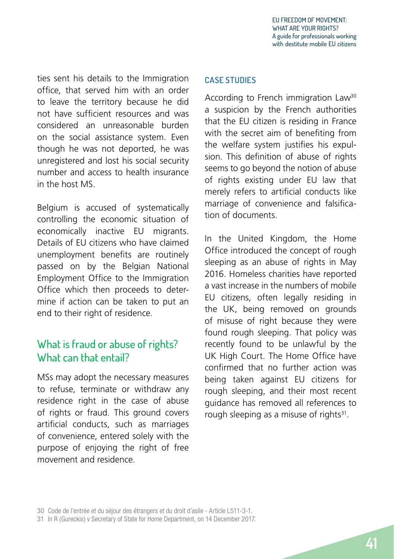<span id="page-42-0"></span>ties sent his details to the Immigration office, that served him with an order to leave the territory because he did not have sufficient resources and was considered an unreasonable burden on the social assistance system. Even though he was not deported, he was unregistered and lost his social security number and access to health insurance in the host MS.

Belgium is accused of systematically controlling the economic situation of economically inactive EU migrants. Details of EU citizens who have claimed unemployment benefits are routinely passed on by the Belgian National Employment Office to the Immigration Office which then proceeds to determine if action can be taken to put an end to their right of residence.

### <span id="page-42-1"></span>What is fraud or abuse of rights? What can that entail?

MSs may adopt the necessary measures to refuse, terminate or withdraw any residence right in the case of abuse of rights or fraud. This ground covers artificial conducts, such as marriages of convenience, entered solely with the purpose of enjoying the right of free movement and residence.

#### **CASE STUDIES**

According to French immigration Law<sup>30</sup> a suspicion by the French authorities that the EU citizen is residing in France with the secret aim of benefiting from the welfare system justifies his expulsion. This definition of abuse of rights seems to go beyond the notion of abuse of rights existing under EU law that merely refers to artificial conducts like marriage of convenience and falsification of documents.

In the United Kingdom, the Home Office introduced the concept of rough sleeping as an abuse of rights in May 2016. Homeless charities have reported a vast increase in the numbers of mobile EU citizens, often legally residing in the UK, being removed on grounds of misuse of right because they were found rough sleeping. That policy was recently found to be unlawful by the UK High Court. The Home Office have confirmed that no further action was being taken against EU citizens for rough sleeping, and their most recent guidance has removed all references to rough sleeping as a misuse of rights<sup>31</sup>.

<sup>30</sup> Code de l'entrée et du séjour des étrangers et du droit d'asile - Article L511-3-1.

<sup>31</sup> In R (Gureckis) v Secretary of State for Home Department, on 14 December 2017.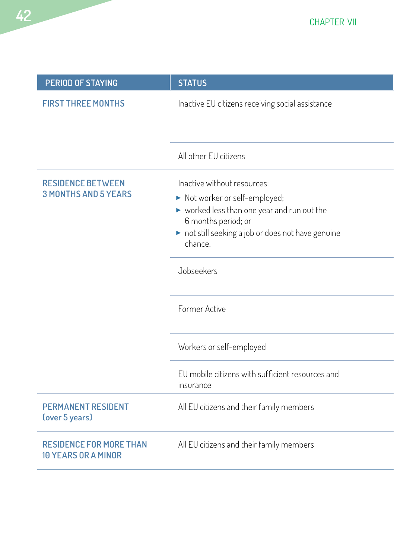

| PERIOD OF STAYING                                            | <b>STATUS</b>                                                                                                                                                                                                        |
|--------------------------------------------------------------|----------------------------------------------------------------------------------------------------------------------------------------------------------------------------------------------------------------------|
| <b>FIRST THREE MONTHS</b>                                    | Inactive EU citizens receiving social assistance                                                                                                                                                                     |
|                                                              | All other EU citizens                                                                                                                                                                                                |
| <b>RESIDENCE BETWEEN</b><br><b>3 MONTHS AND 5 YEARS</b>      | Inactive without resources:<br>Not worker or self-employed;<br>$\blacktriangleright$ worked less than one year and run out the<br>6 months period; or<br>not still seeking a job or does not have genuine<br>chance. |
|                                                              | Jobseekers<br>Former Active                                                                                                                                                                                          |
|                                                              | Workers or self-employed                                                                                                                                                                                             |
|                                                              | EU mobile citizens with sufficient resources and<br>insurance                                                                                                                                                        |
| <b>PERMANENT RESIDENT</b><br>(over 5 years)                  | All EU citizens and their family members                                                                                                                                                                             |
| <b>RESIDENCE FOR MORE THAN</b><br><b>10 YEARS OR A MINOR</b> | All EU citizens and their family members                                                                                                                                                                             |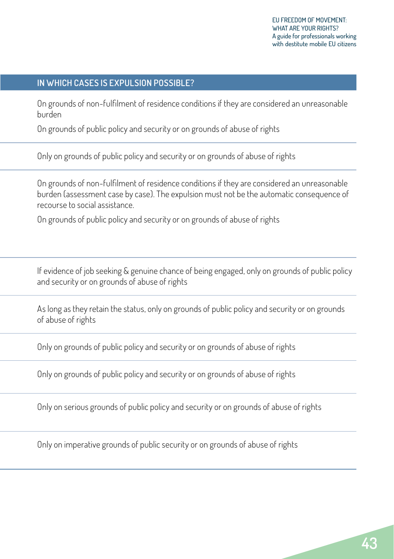### **IN WHICH CASES IS EXPULSION POSSIBLE?**

On grounds of non-fulfilment of residence conditions if they are considered an unreasonable burden

On grounds of public policy and security or on grounds of abuse of rights

Only on grounds of public policy and security or on grounds of abuse of rights

On grounds of non-fulfilment of residence conditions if they are considered an unreasonable burden (assessment case by case). The expulsion must not be the automatic consequence of recourse to social assistance.

On grounds of public policy and security or on grounds of abuse of rights

If evidence of job seeking & genuine chance of being engaged, only on grounds of public policy and security or on grounds of abuse of rights

As long as they retain the status, only on grounds of public policy and security or on grounds of abuse of rights

Only on grounds of public policy and security or on grounds of abuse of rights

Only on grounds of public policy and security or on grounds of abuse of rights

Only on serious grounds of public policy and security or on grounds of abuse of rights

Only on imperative grounds of public security or on grounds of abuse of rights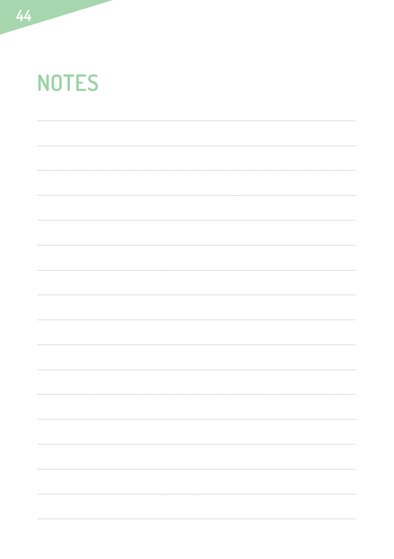# **NOTES**